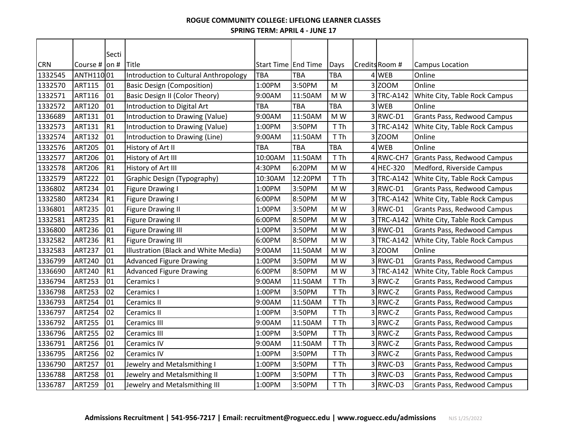### **SPRING TERM: APRIL 4 - JUNE 17 ROGUE COMMUNITY COLLEGE: LIFELONG LEARNER CLASSES**

|            |                   | Secti |                                       |                     |            |           |                |                               |
|------------|-------------------|-------|---------------------------------------|---------------------|------------|-----------|----------------|-------------------------------|
| <b>CRN</b> | Course $#$ on $#$ |       | <b>Title</b>                          | Start Time End Time |            | Days      | Credits Room # | Campus Location               |
| 1332545    | ANTH11001         |       | Introduction to Cultural Anthropology | <b>TBA</b>          | <b>TBA</b> | TBA       | 4 WEB          | Online                        |
| 1332570    | <b>ART115</b>     | 01    | <b>Basic Design (Composition)</b>     | 1:00PM              | 3:50PM     | ${\sf M}$ | 3 ZOOM         | Online                        |
| 1332571    | <b>ART116</b>     | 01    | Basic Design II (Color Theory)        | 9:00AM              | 11:50AM    | M W       | 3TRC-A142      | White City, Table Rock Campus |
| 1332572    | <b>ART120</b>     | 01    | Introduction to Digital Art           | <b>TBA</b>          | <b>TBA</b> | TBA       | 3 WEB          | Online                        |
| 1336689    | <b>ART131</b>     | 01    | Introduction to Drawing (Value)       | 9:00AM              | 11:50AM    | M W       | 3RWC-D1        | Grants Pass, Redwood Campus   |
| 1332573    | <b>ART131</b>     | R1    | Introduction to Drawing (Value)       | 1:00PM              | 3:50PM     | T Th      | 3 TRC-A142     | White City, Table Rock Campus |
| 1332574    | <b>ART132</b>     | 01    | Introduction to Drawing (Line)        | 9:00AM              | 11:50AM    | T Th      | $3$ ZOOM       | Online                        |
| 1332576    | <b>ART205</b>     | 01    | History of Art II                     | <b>TBA</b>          | <b>TBA</b> | TBA       | 4 WEB          | Online                        |
| 1332577    | <b>ART206</b>     | 01    | History of Art III                    | 10:00AM             | 11:50AM    | T Th      | 4 RWC-CH7      | Grants Pass, Redwood Campus   |
| 1332578    | <b>ART206</b>     | R1    | History of Art III                    | 4:30PM              | 6:20PM     | M W       | 4 HEC-320      | Medford, Riverside Campus     |
| 1332579    | <b>ART222</b>     | 01    | Graphic Design (Typography)           | 10:30AM             | 12:20PM    | T Th      | 3TRC-A142      | White City, Table Rock Campus |
| 1336802    | <b>ART234</b>     | 01    | Figure Drawing I                      | 1:00PM              | 3:50PM     | M W       | 3RWC-D1        | Grants Pass, Redwood Campus   |
| 1332580    | <b>ART234</b>     | R1    | Figure Drawing I                      | 6:00PM              | 8:50PM     | M W       | 3TRC-A142      | White City, Table Rock Campus |
| 1336801    | <b>ART235</b>     | 01    | <b>Figure Drawing II</b>              | 1:00PM              | 3:50PM     | M W       | 3RWC-D1        | Grants Pass, Redwood Campus   |
| 1332581    | <b>ART235</b>     | R1    | <b>Figure Drawing II</b>              | 6:00PM              | 8:50PM     | M W       | 3 TRC-A142     | White City, Table Rock Campus |
| 1336800    | <b>ART236</b>     | 01    | <b>Figure Drawing III</b>             | 1:00PM              | 3:50PM     | M W       | 3RWC-D1        | Grants Pass, Redwood Campus   |
| 1332582    | <b>ART236</b>     | R1    | <b>Figure Drawing III</b>             | 6:00PM              | 8:50PM     | M W       | 3 TRC-A142     | White City, Table Rock Campus |
| 1332583    | <b>ART237</b>     | 01    | Illustration (Black and White Media)  | 9:00AM              | 11:50AM    | M W       | $3$ ZOOM       | Online                        |
| 1336799    | <b>ART240</b>     | 01    | <b>Advanced Figure Drawing</b>        | 1:00PM              | 3:50PM     | M W       | 3RWC-D1        | Grants Pass, Redwood Campus   |
| 1336690    | <b>ART240</b>     | R1    | <b>Advanced Figure Drawing</b>        | 6:00PM              | 8:50PM     | M W       | 3TRC-A142      | White City, Table Rock Campus |
| 1336794    | <b>ART253</b>     | 01    | Ceramics I                            | 9:00AM              | 11:50AM    | T Th      | 3RWC-Z         | Grants Pass, Redwood Campus   |
| 1336798    | <b>ART253</b>     | 02    | Ceramics I                            | 1:00PM              | 3:50PM     | T Th      | 3RWC-Z         | Grants Pass, Redwood Campus   |
| 1336793    | <b>ART254</b>     | 01    | Ceramics II                           | 9:00AM              | 11:50AM    | T Th      | 3RWC-Z         | Grants Pass, Redwood Campus   |
| 1336797    | <b>ART254</b>     | 02    | Ceramics II                           | 1:00PM              | 3:50PM     | T Th      | 3RWC-Z         | Grants Pass, Redwood Campus   |
| 1336792    | <b>ART255</b>     | 01    | <b>Ceramics III</b>                   | 9:00AM              | 11:50AM    | T Th      | 3RWC-Z         | Grants Pass, Redwood Campus   |
| 1336796    | <b>ART255</b>     | 02    | <b>Ceramics III</b>                   | 1:00PM              | 3:50PM     | T Th      | 3RWC-Z         | Grants Pass, Redwood Campus   |
| 1336791    | <b>ART256</b>     | 01    | <b>Ceramics IV</b>                    | 9:00AM              | 11:50AM    | T Th      | $3$ RWC-Z      | Grants Pass, Redwood Campus   |
| 1336795    | <b>ART256</b>     | 02    | <b>Ceramics IV</b>                    | 1:00PM              | 3:50PM     | T Th      | 3 RWC-Z        | Grants Pass, Redwood Campus   |
| 1336790    | <b>ART257</b>     | 01    | Jewelry and Metalsmithing I           | 1:00PM              | 3:50PM     | T Th      | 3RWC-D3        | Grants Pass, Redwood Campus   |
| 1336788    | <b>ART258</b>     | 01    | Jewelry and Metalsmithing II          | 1:00PM              | 3:50PM     | T Th      | 3RWC-D3        | Grants Pass, Redwood Campus   |
| 1336787    | <b>ART259</b>     | 01    | Jewelry and Metalsmithing III         | 1:00PM              | 3:50PM     | T Th      | 3RWC-D3        | Grants Pass, Redwood Campus   |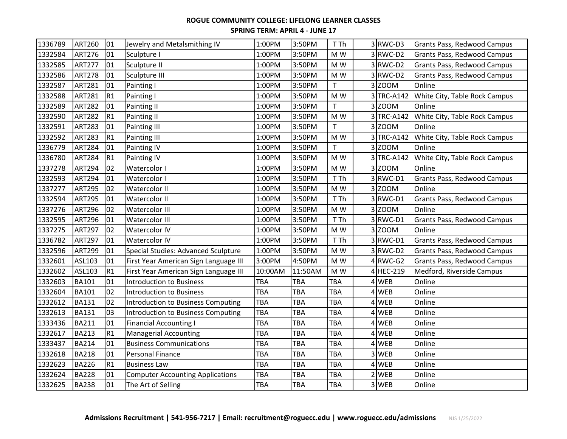| 1336789 | <b>ART260</b> | 01 | Jewelry and Metalsmithing IV              | 1:00PM     | 3:50PM     | T Th                     | 3RWC-D3    | Grants Pass, Redwood Campus        |
|---------|---------------|----|-------------------------------------------|------------|------------|--------------------------|------------|------------------------------------|
| 1332584 | <b>ART276</b> | 01 | Sculpture I                               | 1:00PM     | 3:50PM     | M W                      | 3RWC-D2    | Grants Pass, Redwood Campus        |
| 1332585 | <b>ART277</b> | 01 | Sculpture II                              | 1:00PM     | 3:50PM     | M W                      | 3RWC-D2    | Grants Pass, Redwood Campus        |
| 1332586 | <b>ART278</b> | 01 | Sculpture III                             | 1:00PM     | 3:50PM     | M W                      | 3RWC-D2    | Grants Pass, Redwood Campus        |
| 1332587 | <b>ART281</b> | 01 | Painting I                                | 1:00PM     | 3:50PM     | $\mathsf T$              | $3$ ZOOM   | Online                             |
| 1332588 | <b>ART281</b> | R1 | Painting I                                | 1:00PM     | 3:50PM     | M W                      | 3 TRC-A142 | White City, Table Rock Campus      |
| 1332589 | <b>ART282</b> | 01 | Painting II                               | 1:00PM     | 3:50PM     | T                        | 3 ZOOM     | Online                             |
| 1332590 | <b>ART282</b> | R1 | Painting II                               | 1:00PM     | 3:50PM     | M W                      | 3 TRC-A142 | White City, Table Rock Campus      |
| 1332591 | <b>ART283</b> | 01 | Painting III                              | 1:00PM     | 3:50PM     | $\mathsf{T}$             | 3 ZOOM     | Online                             |
| 1332592 | <b>ART283</b> | R1 | Painting III                              | 1:00PM     | 3:50PM     | M W                      | 3 TRC-A142 | White City, Table Rock Campus      |
| 1336779 | <b>ART284</b> | 01 | <b>Painting IV</b>                        | 1:00PM     | 3:50PM     | $\mathsf{T}$             | 3 ZOOM     | Online                             |
| 1336780 | <b>ART284</b> | R1 | Painting IV                               | 1:00PM     | 3:50PM     | M W                      | 3 TRC-A142 | White City, Table Rock Campus      |
| 1337278 | <b>ART294</b> | 02 | Watercolor I                              | 1:00PM     | 3:50PM     | $\mathsf{M}\ \mathsf{W}$ | $3$ ZOOM   | Online                             |
| 1332593 | <b>ART294</b> | 01 | Watercolor I                              | 1:00PM     | 3:50PM     | T Th                     | 3RWC-D1    | Grants Pass, Redwood Campus        |
| 1337277 | <b>ART295</b> | 02 | Watercolor II                             | 1:00PM     | 3:50PM     | M W                      | 3 ZOOM     | Online                             |
| 1332594 | <b>ART295</b> | 01 | Watercolor II                             | 1:00PM     | 3:50PM     | T Th                     | 3RWC-D1    | Grants Pass, Redwood Campus        |
| 1337276 | <b>ART296</b> | 02 | Watercolor III                            | 1:00PM     | 3:50PM     | M W                      | 3Z00M      | Online                             |
| 1332595 | <b>ART296</b> | 01 | Watercolor III                            | 1:00PM     | 3:50PM     | T Th                     | 3RWC-D1    | Grants Pass, Redwood Campus        |
| 1337275 | <b>ART297</b> | 02 | Watercolor IV                             | 1:00PM     | 3:50PM     | M W                      | 3 ZOOM     | Online                             |
| 1336782 | <b>ART297</b> | 01 | Watercolor IV                             | 1:00PM     | 3:50PM     | T Th                     | 3RWC-D1    | <b>Grants Pass, Redwood Campus</b> |
| 1332596 | <b>ART299</b> | 01 | Special Studies: Advanced Sculpture       | 1:00PM     | 3:50PM     | M W                      | 3RWC-D2    | Grants Pass, Redwood Campus        |
| 1332601 | ASL103        | 01 | First Year American Sign Language III     | 3:00PM     | 4:50PM     | M W                      | $4$ RWC-G2 | Grants Pass, Redwood Campus        |
| 1332602 | ASL103        | R1 | First Year American Sign Language III     | 10:00AM    | 11:50AM    | M W                      | 4 HEC-219  | Medford, Riverside Campus          |
| 1332603 | <b>BA101</b>  | 01 | <b>Introduction to Business</b>           | TBA        | <b>TBA</b> | TBA                      | 4 WEB      | Online                             |
| 1332604 | <b>BA101</b>  | 02 | <b>Introduction to Business</b>           | TBA        | TBA        | <b>TBA</b>               | 4 WEB      | Online                             |
| 1332612 | <b>BA131</b>  | 02 | Introduction to Business Computing        | <b>TBA</b> | <b>TBA</b> | TBA                      | 4 WEB      | Online                             |
| 1332613 | <b>BA131</b>  | 03 | <b>Introduction to Business Computing</b> | <b>TBA</b> | TBA        | <b>TBA</b>               | 4 WEB      | Online                             |
| 1333436 | <b>BA211</b>  | 01 | <b>Financial Accounting I</b>             | <b>TBA</b> | TBA        | TBA                      | 4 WEB      | Online                             |
| 1332617 | <b>BA213</b>  | R1 | <b>Managerial Accounting</b>              | <b>TBA</b> | TBA        | <b>TBA</b>               | 4 WEB      | Online                             |
| 1333437 | <b>BA214</b>  | 01 | <b>Business Communications</b>            | <b>TBA</b> | TBA        | <b>TBA</b>               | 4 WEB      | Online                             |
| 1332618 | <b>BA218</b>  | 01 | Personal Finance                          | <b>TBA</b> | <b>TBA</b> | TBA                      | 3 WEB      | Online                             |
| 1332623 | <b>BA226</b>  | R1 | <b>Business Law</b>                       | <b>TBA</b> | <b>TBA</b> | <b>TBA</b>               | 4 WEB      | Online                             |
| 1332624 | <b>BA228</b>  | 01 | <b>Computer Accounting Applications</b>   | <b>TBA</b> | TBA        | TBA                      | 2 WEB      | Online                             |
| 1332625 | <b>BA238</b>  | 01 | The Art of Selling                        | <b>TBA</b> | <b>TBA</b> | <b>TBA</b>               | 3 WEB      | Online                             |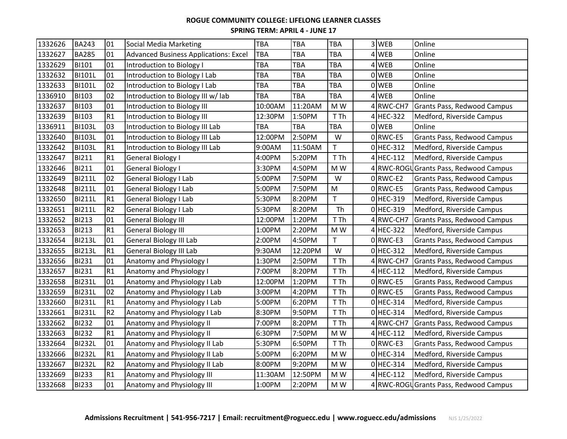| 1332626 | <b>BA243</b>  | 01             | Social Media Marketing                       | <b>TBA</b> | <b>TBA</b> | TBA         | 3 WEB       | Online                                 |
|---------|---------------|----------------|----------------------------------------------|------------|------------|-------------|-------------|----------------------------------------|
| 1332627 | <b>BA285</b>  | 01             | <b>Advanced Business Applications: Excel</b> | TBA        | <b>TBA</b> | TBA         | 4 WEB       | Online                                 |
| 1332629 | <b>BI101</b>  | 01             | Introduction to Biology I                    | <b>TBA</b> | TBA        | TBA         | 4 WEB       | Online                                 |
| 1332632 | BI101L        | 01             | Introduction to Biology I Lab                | TBA        | <b>TBA</b> | TBA         | 0 WEB       | Online                                 |
| 1332633 | <b>BI101L</b> | 02             | Introduction to Biology I Lab                | <b>TBA</b> | <b>TBA</b> | TBA         | 0 WEB       | Online                                 |
| 1336910 | BI103         | 02             | Introduction to Biology III w/ lab           | TBA        | <b>TBA</b> | TBA         | 4 WEB       | Online                                 |
| 1332637 | <b>BI103</b>  | 01             | Introduction to Biology III                  | 10:00AM    | 11:20AM    | M W         | 4 RWC-CH7   | Grants Pass, Redwood Campus            |
| 1332639 | <b>BI103</b>  | R1             | Introduction to Biology III                  | 12:30PM    | 1:50PM     | T Th        | 4 HEC-322   | Medford, Riverside Campus              |
| 1336911 | <b>BI103L</b> | 03             | Introduction to Biology III Lab              | TBA        | TBA        | TBA         | 0 WEB       | Online                                 |
| 1332640 | <b>BI103L</b> | 01             | Introduction to Biology III Lab              | 12:00PM    | 2:50PM     | W           | 0RWC-E5     | Grants Pass, Redwood Campus            |
| 1332642 | <b>BI103L</b> | R1             | Introduction to Biology III Lab              | 9:00AM     | 11:50AM    | $\mathsf T$ | $0$ HEC-312 | Medford, Riverside Campus              |
| 1332647 | BI211         | R1             | General Biology I                            | 4:00PM     | 5:20PM     | T Th        | 4 HEC-112   | Medford, Riverside Campus              |
| 1332646 | <b>BI211</b>  | 01             | General Biology I                            | 3:30PM     | 4:50PM     | M W         |             | 4 RWC-ROGU Grants Pass, Redwood Campus |
| 1332649 | <b>BI211L</b> | 02             | General Biology I Lab                        | 5:00PM     | 7:50PM     | W           | $0$ RWC-E2  | Grants Pass, Redwood Campus            |
| 1332648 | <b>BI211L</b> | 01             | General Biology I Lab                        | 5:00PM     | 7:50PM     | M           | 0RWC-E5     | Grants Pass, Redwood Campus            |
| 1332650 | <b>BI211L</b> | R1             | General Biology I Lab                        | 5:30PM     | 8:20PM     | T           | 0 HEC-319   | Medford, Riverside Campus              |
| 1332651 | <b>BI211L</b> | R <sub>2</sub> | General Biology I Lab                        | 5:30PM     | 8:20PM     | Th          | 0 HEC-319   | Medford, Riverside Campus              |
| 1332652 | <b>BI213</b>  | 01             | <b>General Biology III</b>                   | 12:00PM    | 1:20PM     | T Th        | 4 RWC-CH7   | <b>Grants Pass, Redwood Campus</b>     |
| 1332653 | <b>BI213</b>  | R1             | <b>General Biology III</b>                   | 1:00PM     | 2:20PM     | M W         | 4 HEC-322   | Medford, Riverside Campus              |
| 1332654 | <b>BI213L</b> | 01             | General Biology III Lab                      | 2:00PM     | 4:50PM     | T.          | $0$ RWC-E3  | Grants Pass, Redwood Campus            |
| 1332655 | <b>BI213L</b> | R1             | <b>General Biology III Lab</b>               | 9:30AM     | 12:20PM    | W           | $0$ HEC-312 | Medford, Riverside Campus              |
| 1332656 | <b>BI231</b>  | 01             | Anatomy and Physiology I                     | 1:30PM     | 2:50PM     | T Th        | 4RWC-CH7    | Grants Pass, Redwood Campus            |
| 1332657 | <b>BI231</b>  | R1             | Anatomy and Physiology I                     | 7:00PM     | 8:20PM     | T Th        | 4 HEC-112   | Medford, Riverside Campus              |
| 1332658 | <b>BI231L</b> | 01             | Anatomy and Physiology I Lab                 | 12:00PM    | 1:20PM     | T Th        | 0RWC-E5     | Grants Pass, Redwood Campus            |
| 1332659 | <b>BI231L</b> | 02             | Anatomy and Physiology I Lab                 | 3:00PM     | 4:20PM     | T Th        | 0RWC-E5     | Grants Pass, Redwood Campus            |
| 1332660 | <b>BI231L</b> | R1             | Anatomy and Physiology I Lab                 | 5:00PM     | 6:20PM     | T Th        | 0 HEC-314   | Medford, Riverside Campus              |
| 1332661 | <b>BI231L</b> | R <sub>2</sub> | Anatomy and Physiology I Lab                 | 8:30PM     | 9:50PM     | T Th        | $0$ HEC-314 | Medford, Riverside Campus              |
| 1332662 | <b>BI232</b>  | 01             | Anatomy and Physiology II                    | 7:00PM     | 8:20PM     | T Th        | 4 RWC-CH7   | Grants Pass, Redwood Campus            |
| 1332663 | <b>BI232</b>  | R1             | Anatomy and Physiology II                    | 6:30PM     | 7:50PM     | M W         | 4 HEC-112   | Medford, Riverside Campus              |
| 1332664 | <b>BI232L</b> | 01             | Anatomy and Physiology II Lab                | 5:30PM     | 6:50PM     | T Th        | $0$ RWC-E3  | Grants Pass, Redwood Campus            |
| 1332666 | <b>BI232L</b> | R1             | Anatomy and Physiology II Lab                | 5:00PM     | 6:20PM     | M W         | $0$ HEC-314 | Medford, Riverside Campus              |
| 1332667 | <b>BI232L</b> | R <sub>2</sub> | Anatomy and Physiology II Lab                | 8:00PM     | 9:20PM     | M W         | $0$ HEC-314 | Medford, Riverside Campus              |
| 1332669 | <b>BI233</b>  | R1             | Anatomy and Physiology III                   | 11:30AM    | 12:50PM    | M W         | 4 HEC-112   | Medford, Riverside Campus              |
| 1332668 | <b>BI233</b>  | 01             | Anatomy and Physiology III                   | 1:00PM     | 2:20PM     | M W         |             | 4 RWC-ROGU Grants Pass, Redwood Campus |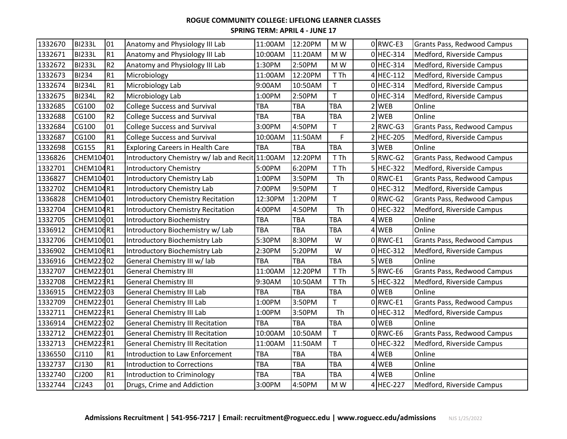| 1332670 | <b>BI233L</b> | 01             | Anatomy and Physiology III Lab                  | 11:00AM    | 12:20PM    | M W          |                | $0$ RWC-E3            | Grants Pass, Redwood Campus |
|---------|---------------|----------------|-------------------------------------------------|------------|------------|--------------|----------------|-----------------------|-----------------------------|
| 1332671 | <b>BI233L</b> | R1             | Anatomy and Physiology III Lab                  | 10:00AM    | 11:20AM    | M W          |                | $0$ HEC-314           | Medford, Riverside Campus   |
| 1332672 | <b>BI233L</b> | R <sub>2</sub> | Anatomy and Physiology III Lab                  | 1:30PM     | 2:50PM     | M W          |                | $0$ HEC-314           | Medford, Riverside Campus   |
| 1332673 | <b>BI234</b>  | R1             | Microbiology                                    | 11:00AM    | 12:20PM    | T Th         |                | 4 HEC-112             | Medford, Riverside Campus   |
| 1332674 | <b>BI234L</b> | R1             | Microbiology Lab                                | 9:00AM     | 10:50AM    | T            |                | $0$ HEC-314           | Medford, Riverside Campus   |
| 1332675 | <b>BI234L</b> | R <sub>2</sub> | Microbiology Lab                                | 1:00PM     | 2:50PM     | $\mathsf{T}$ |                | 0 HEC-314             | Medford, Riverside Campus   |
| 1332685 | CG100         | 02             | <b>College Success and Survival</b>             | TBA        | <b>TBA</b> | TBA          |                | $2$ WEB               | Online                      |
| 1332688 | CG100         | R <sub>2</sub> | <b>College Success and Survival</b>             | TBA        | <b>TBA</b> | TBA          | $\overline{2}$ | <b>WEB</b>            | Online                      |
| 1332684 | CG100         | 01             | <b>College Success and Survival</b>             | 3:00PM     | 4:50PM     | $\mathsf{T}$ |                | $2$ <sub>RWC-G3</sub> | Grants Pass, Redwood Campus |
| 1332687 | CG100         | R1             | <b>College Success and Survival</b>             | 10:00AM    | 11:50AM    | F            |                | 2 HEC-205             | Medford, Riverside Campus   |
| 1332698 | CG155         | R1             | <b>Exploring Careers in Health Care</b>         | TBA        | <b>TBA</b> | TBA          |                | 3 WEB                 | Online                      |
| 1336826 | CHEM10401     |                | Introductory Chemistry w/ lab and Recit 11:00AM |            | 12:20PM    | T Th         |                | $5$ RWC-G2            | Grants Pass, Redwood Campus |
| 1332701 | CHEM104R1     |                | <b>Introductory Chemistry</b>                   | 5:00PM     | 6:20PM     | T Th         |                | 5 HEC-322             | Medford, Riverside Campus   |
| 1336827 | CHEM10401     |                | Introductory Chemistry Lab                      | 1:00PM     | 3:50PM     | Th           |                | $0$ RWC-E1            | Grants Pass, Redwood Campus |
| 1332702 | CHEM104R1     |                | Introductory Chemistry Lab                      | 7:00PM     | 9:50PM     | T            |                | $0$ HEC-312           | Medford, Riverside Campus   |
| 1336828 | CHEM10401     |                | Introductory Chemistry Recitation               | 12:30PM    | 1:20PM     | $\mathsf{T}$ |                | $0$ RWC-G2            | Grants Pass, Redwood Campus |
| 1332704 | CHEM104R1     |                | Introductory Chemistry Recitation               | 4:00PM     | 4:50PM     | Th           |                | 0 HEC-322             | Medford, Riverside Campus   |
| 1332705 | CHEM10601     |                | <b>Introductory Biochemistry</b>                | <b>TBA</b> | <b>TBA</b> | TBA          |                | 4 WEB                 | Online                      |
| 1336912 | CHEM106R1     |                | Introductory Biochemistry w/ Lab                | TBA        | <b>TBA</b> | TBA          |                | $4$ WEB               | Online                      |
| 1332706 | CHEM10601     |                | Introductory Biochemistry Lab                   | 5:30PM     | 8:30PM     | W            |                | $0$ RWC-E1            | Grants Pass, Redwood Campus |
| 1336902 | CHEM106R1     |                | Introductory Biochemistry Lab                   | 2:30PM     | 5:20PM     | W            |                | $0$ HEC-312           | Medford, Riverside Campus   |
| 1336916 | CHEM22302     |                | General Chemistry III w/ lab                    | TBA        | TBA        | TBA          |                | 5 WEB                 | Online                      |
| 1332707 | CHEM22301     |                | <b>General Chemistry III</b>                    | 11:00AM    | 12:20PM    | T Th         |                | 5 RWC-E6              | Grants Pass, Redwood Campus |
| 1332708 | CHEM223R1     |                | <b>General Chemistry III</b>                    | 9:30AM     | 10:50AM    | T Th         |                | $5$ HEC-322           | Medford, Riverside Campus   |
| 1336915 | CHEM22303     |                | <b>General Chemistry III Lab</b>                | TBA        | <b>TBA</b> | TBA          |                | 0 WEB                 | Online                      |
| 1332709 | CHEM22301     |                | General Chemistry III Lab                       | 1:00PM     | 3:50PM     | $\mathsf{T}$ |                | 0RWC-E1               | Grants Pass, Redwood Campus |
| 1332711 | CHEM223R1     |                | General Chemistry III Lab                       | 1:00PM     | 3:50PM     | Th           |                | 0 HEC-312             | Medford, Riverside Campus   |
| 1336914 | CHEM22302     |                | <b>General Chemistry III Recitation</b>         | <b>TBA</b> | <b>TBA</b> | TBA          |                | 0 WEB                 | Online                      |
| 1332712 | CHEM22301     |                | <b>General Chemistry III Recitation</b>         | 10:00AM    | 10:50AM    | $\mathsf T$  |                | $0$ RWC-E6            | Grants Pass, Redwood Campus |
| 1332713 | CHEM223R1     |                | <b>General Chemistry III Recitation</b>         | 11:00AM    | 11:50AM    | T.           |                | $0$ HEC-322           | Medford, Riverside Campus   |
| 1336550 | CJ110         | R1             | Introduction to Law Enforcement                 | TBA        | <b>TBA</b> | TBA          |                | 4 WEB                 | Online                      |
| 1332737 | CJ130         | R1             | <b>Introduction to Corrections</b>              | TBA        | TBA        | TBA          |                | 4 WEB                 | Online                      |
| 1332740 | CJ200         | R1             | Introduction to Criminology                     | TBA        | <b>TBA</b> | TBA          |                | 4 WEB                 | Online                      |
| 1332744 | CJ243         | 01             | Drugs, Crime and Addiction                      | 3:00PM     | 4:50PM     | M W          |                | 4 HEC-227             | Medford, Riverside Campus   |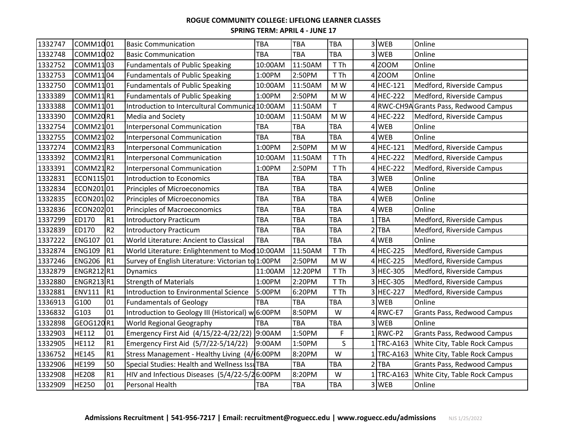| 1332747 | COMM1001         |                | <b>Basic Communication</b>                        | <b>TBA</b> | <b>TBA</b> | TBA          |   | 3 WEB        | Online                                 |
|---------|------------------|----------------|---------------------------------------------------|------------|------------|--------------|---|--------------|----------------------------------------|
| 1332748 | COMM1002         |                | <b>Basic Communication</b>                        | <b>TBA</b> | <b>TBA</b> | TBA          |   | 3 WEB        | Online                                 |
| 1332752 | COMM1103         |                | <b>Fundamentals of Public Speaking</b>            | 10:00AM    | 11:50AM    | T Th         |   | $4$ ZOOM     | Online                                 |
| 1332753 | COMM1104         |                | <b>Fundamentals of Public Speaking</b>            | 1:00PM     | 2:50PM     | T Th         |   | 4 ZOOM       | Online                                 |
| 1332750 | COMM1101         |                | <b>Fundamentals of Public Speaking</b>            | 10:00AM    | 11:50AM    | M W          |   | 4 HEC-121    | Medford, Riverside Campus              |
| 1333389 | COMM11R1         |                | <b>Fundamentals of Public Speaking</b>            | 1:00PM     | 2:50PM     | M W          |   | 4 HEC-222    | Medford, Riverside Campus              |
| 1333388 | COMM1101         |                | Introduction to Intercultural Communica 10:00AM   |            | 11:50AM    | $\mathsf{T}$ |   |              | 4 RWC-CH9A Grants Pass, Redwood Campus |
| 1333390 | COMM20R1         |                | Media and Society                                 | 10:00AM    | 11:50AM    | M W          |   | 4 HEC-222    | Medford, Riverside Campus              |
| 1332754 | COMM2101         |                | Interpersonal Communication                       | <b>TBA</b> | <b>TBA</b> | TBA          |   | 4 WEB        | Online                                 |
| 1332755 | COMM2102         |                | Interpersonal Communication                       | TBA        | <b>TBA</b> | TBA          |   | 4 WEB        | Online                                 |
| 1337274 | COMM21R3         |                | <b>Interpersonal Communication</b>                | 1:00PM     | 2:50PM     | M W          |   | 4 HEC-121    | Medford, Riverside Campus              |
| 1333392 | COMM21R1         |                | Interpersonal Communication                       | 10:00AM    | 11:50AM    | T Th         |   | 4 HEC-222    | Medford, Riverside Campus              |
| 1333391 | COMM21R2         |                | Interpersonal Communication                       | 1:00PM     | 2:50PM     | T Th         |   | 4 HEC-222    | Medford, Riverside Campus              |
| 1332831 | ECON11501        |                | Introduction to Economics                         | <b>TBA</b> | <b>TBA</b> | TBA          |   | 3 WEB        | Online                                 |
| 1332834 | ECON20101        |                | Principles of Microeconomics                      | TBA        | <b>TBA</b> | TBA          |   | 4 WEB        | Online                                 |
| 1332835 | ECON20102        |                | Principles of Microeconomics                      | TBA        | <b>TBA</b> | TBA          | 4 | <b>WEB</b>   | Online                                 |
| 1332836 | ECON20201        |                | Principles of Macroeconomics                      | TBA        | <b>TBA</b> | TBA          |   | 4 WEB        | Online                                 |
| 1337299 | ED170            | R1             | <b>Introductory Practicum</b>                     | <b>TBA</b> | <b>TBA</b> | TBA          |   | $1$ TBA      | Medford, Riverside Campus              |
| 1332839 | ED170            | R <sub>2</sub> | <b>Introductory Practicum</b>                     | TBA        | <b>TBA</b> | TBA          |   | $2$ TBA      | Medford, Riverside Campus              |
| 1337222 | <b>ENG107</b>    | 01             | World Literature: Ancient to Classical            | <b>TBA</b> | <b>TBA</b> | TBA          |   | 4 WEB        | Online                                 |
| 1332874 | <b>ENG109</b>    | R1             | World Literature: Enlightenment to Mod 10:00AM    |            | 11:50AM    | T Th         |   | 4 HEC-225    | Medford, Riverside Campus              |
| 1337246 | <b>ENG206</b>    | R <sub>1</sub> | Survey of English Literature: Victorian to 1:00PM |            | 2:50PM     | M W          |   | 4 HEC-225    | Medford, Riverside Campus              |
| 1332879 | <b>ENGR212R1</b> |                | <b>Dynamics</b>                                   | 11:00AM    | 12:20PM    | T Th         |   | 3 HEC-305    | Medford, Riverside Campus              |
| 1332880 | <b>ENGR213R1</b> |                | <b>Strength of Materials</b>                      | 1:00PM     | 2:20PM     | T Th         |   | 3 HEC-305    | Medford, Riverside Campus              |
| 1332881 | <b>ENV111</b>    | R <sub>1</sub> | Introduction to Environmental Science             | 5:00PM     | 6:20PM     | T Th         |   | 3 HEC-227    | Medford, Riverside Campus              |
| 1336913 | G100             | 01             | <b>Fundamentals of Geology</b>                    | TBA        | <b>TBA</b> | TBA          |   | 3 WEB        | Online                                 |
| 1336832 | G103             | 01             | Introduction to Geology III (Historical) w 6:00PM |            | 8:50PM     | W            |   | $4$ RWC-E7   | Grants Pass, Redwood Campus            |
| 1332898 | GEOG120R1        |                | World Regional Geography                          | <b>TBA</b> | <b>TBA</b> | TBA          |   | 3 WEB        | Online                                 |
| 1332903 | <b>HE112</b>     | 01             | Emergency First Aid (4/15/22-4/22/22)             | 9:00AM     | 1:50PM     | F            |   | $1$ RWC-P2   | Grants Pass, Redwood Campus            |
| 1332905 | <b>HE112</b>     | R1             | Emergency First Aid (5/7/22-5/14/22)              | 9:00AM     | 1:50PM     | S            |   | $1$ TRC-A163 | White City, Table Rock Campus          |
| 1336752 | <b>HE145</b>     | R1             | Stress Management - Healthy Living (4/6:00PM      |            | 8:20PM     | W            |   | $1$ TRC-A163 | White City, Table Rock Campus          |
| 1332906 | <b>HE199</b>     | 50             | Special Studies: Health and Wellness IssuTBA      |            | <b>TBA</b> | TBA          |   | $2$ TBA      | Grants Pass, Redwood Campus            |
| 1332908 | <b>HE208</b>     | R1             | HIV and Infectious Diseases (5/4/22-5/26:00PM     |            | 8:20PM     | W            |   | 1TRC-A163    | White City, Table Rock Campus          |
| 1332909 | <b>HE250</b>     | 01             | Personal Health                                   | TBA        | TBA        | TBA          |   | 3 WEB        | Online                                 |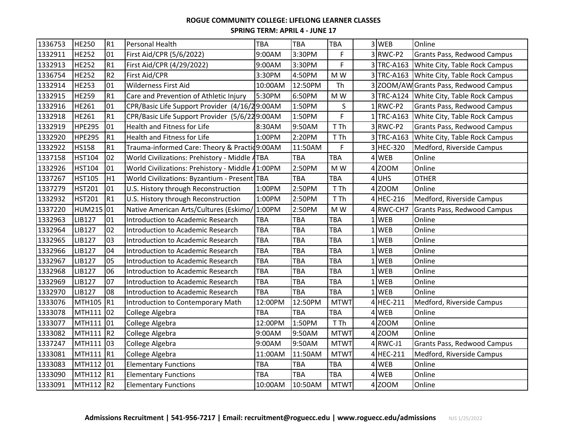| 1336753 | <b>HE250</b>  | R1              | Personal Health                                  | <b>TBA</b> | <b>TBA</b> | <b>TBA</b>  | 3WEB       | Online                                     |
|---------|---------------|-----------------|--------------------------------------------------|------------|------------|-------------|------------|--------------------------------------------|
| 1332911 | <b>HE252</b>  | 01              | First Aid/CPR (5/6/2022)                         | 9:00AM     | 3:30PM     | F           | 3RWC-P2    | Grants Pass, Redwood Campus                |
| 1332913 | <b>HE252</b>  | R1              | First Aid/CPR (4/29/2022)                        | 9:00AM     | 3:30PM     | F           | 3 TRC-A163 | White City, Table Rock Campus              |
| 1336754 | <b>HE252</b>  | R <sub>2</sub>  | First Aid/CPR                                    | 3:30PM     | 4:50PM     | M W         |            | 3 TRC-A163 White City, Table Rock Campus   |
| 1332914 | <b>HE253</b>  | 01              | Wilderness First Aid                             | 10:00AM    | 12:50PM    | Th          |            | 3 ZOOM/AW Grants Pass, Redwood Campus      |
| 1332915 | <b>HE259</b>  | R1              | Care and Prevention of Athletic Injury           | 5:30PM     | 6:50PM     | M W         |            | 3 TRC-A124   White City, Table Rock Campus |
| 1332916 | <b>HE261</b>  | 01              | CPR/Basic Life Support Provider (4/16/29:00AM    |            | 1:50PM     | S           | $1$ RWC-P2 | Grants Pass, Redwood Campus                |
| 1332918 | <b>HE261</b>  | R1              | CPR/Basic Life Support Provider (5/6/229:00AM    |            | 1:50PM     | F           | 1TRC-A163  | White City, Table Rock Campus              |
| 1332919 | <b>HPE295</b> | 01              | Health and Fitness for Life                      | 8:30AM     | 9:50AM     | T Th        | 3RWC-P2    | Grants Pass, Redwood Campus                |
| 1332920 | <b>HPE295</b> | R1              | Health and Fitness for Life                      | 1:00PM     | 2:20PM     | T Th        | 3 TRC-A163 | White City, Table Rock Campus              |
| 1332922 | <b>HS158</b>  | R1              | Trauma-informed Care: Theory & Practic 9:00AM    |            | 11:50AM    | F           | 3 HEC-320  | Medford, Riverside Campus                  |
| 1337158 | <b>HST104</b> | 02              | World Civilizations: Prehistory - Middle ATBA    |            | <b>TBA</b> | TBA         | 4 WEB      | Online                                     |
| 1332926 | <b>HST104</b> | 01              | World Civilizations: Prehistory - Middle 41:00PM |            | 2:50PM     | M W         | 4 ZOOM     | Online                                     |
| 1337267 | <b>HST105</b> | H1              | World Civilizations: Byzantium - Present TBA     |            | <b>TBA</b> | TBA         | $4$ UHS    | <b>OTHER</b>                               |
| 1337279 | <b>HST201</b> | 01              | U.S. History through Reconstruction              | 1:00PM     | 2:50PM     | T Th        | 4 ZOOM     | Online                                     |
| 1332932 | <b>HST201</b> | R1              | U.S. History through Reconstruction              | 1:00PM     | 2:50PM     | T Th        | 4 HEC-216  | Medford, Riverside Campus                  |
| 1337220 | <b>HUM215</b> | 01              | Native American Arts/Cultures (Eskimo/           | 1:00PM     | 2:50PM     | M W         | 4 RWC-CH7  | Grants Pass, Redwood Campus                |
| 1332963 | LIB127        | 01              | Introduction to Academic Research                | <b>TBA</b> | <b>TBA</b> | TBA         | $1$ WEB    | Online                                     |
| 1332964 | LIB127        | 02              | Introduction to Academic Research                | <b>TBA</b> | TBA        | TBA         | $1$ WEB    | Online                                     |
| 1332965 | LIB127        | 03              | Introduction to Academic Research                | <b>TBA</b> | TBA        | <b>TBA</b>  | 1WEB       | Online                                     |
| 1332966 | <b>LIB127</b> | 04              | Introduction to Academic Research                | <b>TBA</b> | <b>TBA</b> | TBA         | $1$ WEB    | Online                                     |
| 1332967 | <b>LIB127</b> | 05              | Introduction to Academic Research                | <b>TBA</b> | TBA        | TBA         | $1$ WEB    | Online                                     |
| 1332968 | <b>LIB127</b> | 06              | Introduction to Academic Research                | <b>TBA</b> | <b>TBA</b> | TBA         | 1WEB       | Online                                     |
| 1332969 | LIB127        | 07              | Introduction to Academic Research                | <b>TBA</b> | <b>TBA</b> | TBA         | $1$ WEB    | Online                                     |
| 1332970 | <b>LIB127</b> | 08              | Introduction to Academic Research                | <b>TBA</b> | <b>TBA</b> | TBA         | $1$ WEB    | Online                                     |
| 1333076 | <b>MTH105</b> | R1              | Introduction to Contemporary Math                | 12:00PM    | 12:50PM    | <b>MTWT</b> | 4 HEC-211  | Medford, Riverside Campus                  |
| 1333078 | <b>MTH111</b> | 02              | College Algebra                                  | <b>TBA</b> | <b>TBA</b> | TBA         | $4$ WEB    | Online                                     |
| 1333077 | <b>MTH111</b> | 01              | College Algebra                                  | 12:00PM    | 1:50PM     | T Th        | 4 ZOOM     | Online                                     |
| 1333082 | <b>MTH111</b> | R <sub>2</sub>  | College Algebra                                  | 9:00AM     | 9:50AM     | <b>MTWT</b> | $4$ ZOOM   | Online                                     |
| 1337247 | <b>MTH111</b> | lo <sub>3</sub> | College Algebra                                  | 9:00AM     | 9:50AM     | <b>MTWT</b> | $4$ RWC-J1 | Grants Pass, Redwood Campus                |
| 1333081 | <b>MTH111</b> | R <sub>1</sub>  | College Algebra                                  | 11:00AM    | 11:50AM    | <b>MTWT</b> | 4 HEC-211  | Medford, Riverside Campus                  |
| 1333083 | <b>MTH112</b> | 01              | <b>Elementary Functions</b>                      | TBA        | TBA        | TBA         | 4 WEB      | Online                                     |
| 1333090 | <b>MTH112</b> | R <sub>1</sub>  | <b>Elementary Functions</b>                      | <b>TBA</b> | <b>TBA</b> | TBA         | 4 WEB      | Online                                     |
| 1333091 | MTH112 R2     |                 | <b>Elementary Functions</b>                      | 10:00AM    | 10:50AM    | <b>MTWT</b> | 4 ZOOM     | Online                                     |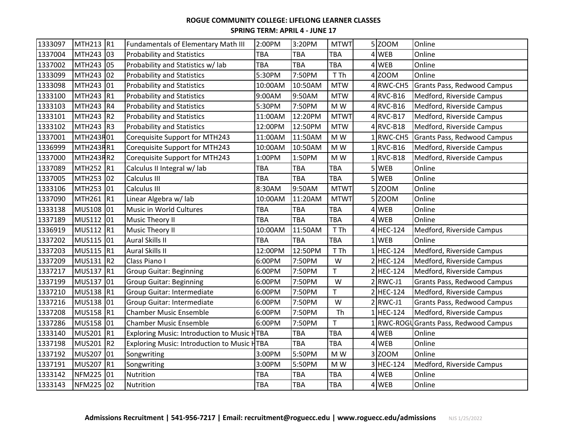| 1333097 | MTH213 R1          |                | Fundamentals of Elementary Math III         | 2:00PM  | 3:20PM     | <b>MTWT</b>  | 5 ZOOM                 | Online                                 |
|---------|--------------------|----------------|---------------------------------------------|---------|------------|--------------|------------------------|----------------------------------------|
| 1337004 | MTH243 03          |                | <b>Probability and Statistics</b>           | TBA     | TBA        | TBA          | 4 WEB                  | Online                                 |
| 1337002 | MTH243 05          |                | Probability and Statistics w/ lab           | TBA     | <b>TBA</b> | TBA          | $4$ WEB                | Online                                 |
| 1333099 | MTH243 02          |                | <b>Probability and Statistics</b>           | 5:30PM  | 7:50PM     | T Th         | 4 ZOOM                 | Online                                 |
| 1333098 | MTH243 01          |                | <b>Probability and Statistics</b>           | 10:00AM | 10:50AM    | <b>MTW</b>   | 4 RWC-CH5              | Grants Pass, Redwood Campus            |
| 1333100 | MTH243 R1          |                | <b>Probability and Statistics</b>           | 9:00AM  | 9:50AM     | <b>MTW</b>   | $4$ RVC-B16            | Medford, Riverside Campus              |
| 1333103 | MTH243 R4          |                | <b>Probability and Statistics</b>           | 5:30PM  | 7:50PM     | M W          | 4 RVC-B16              | Medford, Riverside Campus              |
| 1333101 | MTH <sub>243</sub> | R <sub>2</sub> | <b>Probability and Statistics</b>           | 11:00AM | 12:20PM    | <b>MTWT</b>  | $4$ <sub>RVC-B17</sub> | Medford, Riverside Campus              |
| 1333102 | MTH243 R3          |                | <b>Probability and Statistics</b>           | 12:00PM | 12:50PM    | <b>MTW</b>   | $4$ <sub>RVC-B18</sub> | Medford, Riverside Campus              |
| 1337001 | MTH243R01          |                | Corequisite Support for MTH243              | 11:00AM | 11:50AM    | M W          | $1$ RWC-CH5            | Grants Pass, Redwood Campus            |
| 1336999 | MTH243RR1          |                | Corequisite Support for MTH243              | 10:00AM | 10:50AM    | M W          | $1$ RVC-B16            | Medford, Riverside Campus              |
| 1337000 | MTH243RR2          |                | Corequisite Support for MTH243              | 1:00PM  | 1:50PM     | M W          | $1$ RVC-B18            | Medford, Riverside Campus              |
| 1337089 | MTH252 R1          |                | Calculus II Integral w/ lab                 | TBA     | <b>TBA</b> | TBA          | 5 WEB                  | Online                                 |
| 1337005 | MTH253 02          |                | Calculus III                                | TBA     | <b>TBA</b> | TBA          | 5 WEB                  | Online                                 |
| 1333106 | MTH253 01          |                | Calculus III                                | 8:30AM  | 9:50AM     | <b>MTWT</b>  | 5 ZOOM                 | Online                                 |
| 1337090 | MTH261 R1          |                | Linear Algebra w/ lab                       | 10:00AM | 11:20AM    | <b>MTWT</b>  | 5 ZOOM                 | Online                                 |
| 1333138 | MUS108 01          |                | Music in World Cultures                     | TBA     | <b>TBA</b> | TBA          | $4$ WEB                | Online                                 |
| 1337189 | <b>MUS112</b>      | 01             | Music Theory II                             | TBA     | <b>TBA</b> | TBA          | 4 WEB                  | Online                                 |
| 1336919 | MUS112 R1          |                | <b>Music Theory II</b>                      | 10:00AM | 11:50AM    | T Th         | 4 HEC-124              | Medford, Riverside Campus              |
| 1337202 | MUS115 01          |                | <b>Aural Skills II</b>                      | TBA     | <b>TBA</b> | TBA          | $1$ WEB                | Online                                 |
| 1337203 | MUS115 R1          |                | Aural Skills II                             | 12:00PM | 12:50PM    | T Th         | 1 HEC-124              | Medford, Riverside Campus              |
| 1337209 | MUS131 R2          |                | Class Piano I                               | 6:00PM  | 7:50PM     | W            | 2 HEC-124              | Medford, Riverside Campus              |
| 1337217 | <b>MUS137</b>      | R1             | <b>Group Guitar: Beginning</b>              | 6:00PM  | 7:50PM     | $\mathsf{T}$ | 2 HEC-124              | Medford, Riverside Campus              |
| 1337199 | <b>MUS137</b>      | 01             | <b>Group Guitar: Beginning</b>              | 6:00PM  | 7:50PM     | W            | $2$ RWC-J1             | Grants Pass, Redwood Campus            |
| 1337210 | MUS138 R1          |                | Group Guitar: Intermediate                  | 6:00PM  | 7:50PM     | $\mathsf{T}$ | 2 HEC-124              | Medford, Riverside Campus              |
| 1337216 | MUS138 01          |                | Group Guitar: Intermediate                  | 6:00PM  | 7:50PM     | W            | $2$ RWC-J1             | Grants Pass, Redwood Campus            |
| 1337208 | MUS158 R1          |                | <b>Chamber Music Ensemble</b>               | 6:00PM  | 7:50PM     | Th           | 1 HEC-124              | Medford, Riverside Campus              |
| 1337286 | MUS158 01          |                | <b>Chamber Music Ensemble</b>               | 6:00PM  | 7:50PM     | T            |                        | 1 RWC-ROGU Grants Pass, Redwood Campus |
| 1333140 | <b>MUS201</b>      | R1             | Exploring Music: Introduction to Music HTBA |         | <b>TBA</b> | TBA          | $4$ WEB                | Online                                 |
| 1337198 | MUS201 R2          |                | Exploring Music: Introduction to Music HTBA |         | <b>TBA</b> | TBA          | 4 WEB                  | Online                                 |
| 1337192 | MUS207 01          |                | Songwriting                                 | 3:00PM  | 5:50PM     | M W          | 3Z00M                  | Online                                 |
| 1337191 | <b>MUS207</b>      | R1             | Songwriting                                 | 3:00PM  | 5:50PM     | M W          | 3 HEC-124              | Medford, Riverside Campus              |
| 1333142 | NFM225 01          |                | Nutrition                                   | TBA     | <b>TBA</b> | TBA          | 4 WEB                  | Online                                 |
| 1333143 | NFM225 02          |                | Nutrition                                   | TBA     | <b>TBA</b> | TBA          | 4 WEB                  | Online                                 |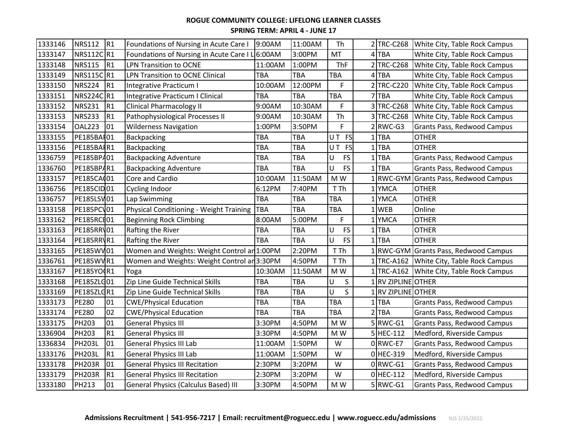| 1333146 | <b>NRS112</b>     | R <sub>1</sub> | Foundations of Nursing in Acute Care I          | 9:00AM     | 11:00AM    | Th                |   |                       | 2 TRC-C268 White City, Table Rock Campus |
|---------|-------------------|----------------|-------------------------------------------------|------------|------------|-------------------|---|-----------------------|------------------------------------------|
| 1333147 | NRS112C R1        |                | Foundations of Nursing in Acute Care I L 6:00AM |            | 3:00PM     | MT                | 4 | <b>TBA</b>            | White City, Table Rock Campus            |
| 1333148 | <b>NRS115</b>     | R <sub>1</sub> | LPN Transition to OCNE                          | 11:00AM    | 1:00PM     | <b>ThF</b>        |   | $2$ TRC-C268          | White City, Table Rock Campus            |
| 1333149 | NRS115C R1        |                | LPN Transition to OCNE Clinical                 | <b>TBA</b> | <b>TBA</b> | TBA               |   | 4TBA                  | White City, Table Rock Campus            |
| 1333150 | <b>NRS224</b>     | R <sub>1</sub> | Integrative Practicum I                         | 10:00AM    | 12:00PM    | F                 |   | <b>TRC-C220</b>       | White City, Table Rock Campus            |
| 1333151 | NRS224C R1        |                | Integrative Practicum I Clinical                | <b>TBA</b> | <b>TBA</b> | TBA               |   | <b>TBA</b>            | White City, Table Rock Campus            |
| 1333152 | <b>NRS231</b>     | R1             | <b>Clinical Pharmacology II</b>                 | 9:00AM     | 10:30AM    | F                 |   | 3TRC-C268             | White City, Table Rock Campus            |
| 1333153 | <b>NRS233</b>     | R1             | Pathophysiological Processes II                 | 9:00AM     | 10:30AM    | Th                |   | 3TRC-C268             | White City, Table Rock Campus            |
| 1333154 | <b>OAL223</b>     | 01             | <b>Wilderness Navigation</b>                    | 1:00PM     | 3:50PM     | F                 |   | $2$ <sub>RWC-G3</sub> | Grants Pass, Redwood Campus              |
| 1333155 | PE185BAF01        |                | Backpacking                                     | <b>TBA</b> | <b>TBA</b> | UT FS             |   | $1$ TBA               | <b>OTHER</b>                             |
| 1333156 | PE185BAIR1        |                | Backpacking                                     | TBA        | <b>TBA</b> | UT FS             |   | $1$ TBA               | <b>OTHER</b>                             |
| 1336759 | PE185BP/01        |                | <b>Backpacking Adventure</b>                    | TBA        | <b>TBA</b> | <b>FS</b><br>U    | 1 | <b>TBA</b>            | Grants Pass, Redwood Campus              |
| 1336760 | PE185BPAR1        |                | <b>Backpacking Adventure</b>                    | <b>TBA</b> | <b>TBA</b> | <b>FS</b><br>U    |   | <b>TBA</b>            | <b>Grants Pass, Redwood Campus</b>       |
| 1333157 | PE185CA(01        |                | Core and Cardio                                 | 10:00AM    | 11:50AM    | M W               |   |                       | 1 RWC-GYM Grants Pass, Redwood Campus    |
| 1336756 | <b>PE185CID01</b> |                | Cycling Indoor                                  | 6:12PM     | 7:40PM     | T Th              |   | 1 YMCA                | <b>OTHER</b>                             |
| 1336757 | PE185LSV01        |                | Lap Swimming                                    | TBA        | <b>TBA</b> | TBA               |   | <b>YMCA</b>           | <b>OTHER</b>                             |
| 1333158 | <b>PE185PCV01</b> |                | Physical Conditioning - Weight Training         | <b>TBA</b> | <b>TBA</b> | <b>TBA</b>        |   | <b>WEB</b>            | Online                                   |
| 1333162 | <b>PE185RCF01</b> |                | <b>Beginning Rock Climbing</b>                  | 8:00AM     | 5:00PM     | F                 | 1 | <b>YMCA</b>           | <b>OTHER</b>                             |
| 1333163 | PE185RR\01        |                | Rafting the River                               | <b>TBA</b> | <b>TBA</b> | <b>FS</b><br>U    |   | $1$ TBA               | <b>OTHER</b>                             |
| 1333164 | PE185RR\R1        |                | Rafting the River                               | <b>TBA</b> | TBA        | <b>FS</b><br>U    |   | $1$ TBA               | <b>OTHER</b>                             |
| 1333165 | PE185WV01         |                | Women and Weights: Weight Control an 1:00PM     |            | 2:20PM     | T Th              |   |                       | RWC-GYM Grants Pass, Redwood Campus      |
| 1336761 | PE185WVR1         |                | Women and Weights: Weight Control an 3:30PM     |            | 4:50PM     | T Th              |   |                       | 1 TRC-A162 White City, Table Rock Campus |
| 1333167 | PE185YO(R1        |                | Yoga                                            | 10:30AM    | 11:50AM    | M W               |   |                       | 1 TRC-A162 White City, Table Rock Campus |
| 1333168 | PE185ZLG01        |                | Zip Line Guide Technical Skills                 | TBA        | <b>TBA</b> | $\sf S$<br>U      |   | 1 RV ZIPLINE OTHER    |                                          |
| 1333169 | PE185ZLGR1        |                | Zip Line Guide Technical Skills                 | <b>TBA</b> | <b>TBA</b> | $\mathsf{S}$<br>U |   | 1 RV ZIPLINE OTHER    |                                          |
| 1333173 | <b>PE280</b>      | 01             | <b>CWE/Physical Education</b>                   | TBA        | <b>TBA</b> | TBA               | 1 | <b>TBA</b>            | Grants Pass, Redwood Campus              |
| 1333174 | <b>PE280</b>      | 02             | <b>CWE/Physical Education</b>                   | TBA        | <b>TBA</b> | TBA               | 2 | <b>TBA</b>            | Grants Pass, Redwood Campus              |
| 1333175 | <b>PH203</b>      | 01             | <b>General Physics III</b>                      | 3:30PM     | 4:50PM     | M W               |   | $5 RWC-G1$            | Grants Pass, Redwood Campus              |
| 1336904 | <b>PH203</b>      | R1             | <b>General Physics III</b>                      | 3:30PM     | 4:50PM     | M W               |   | 5 HEC-112             | Medford, Riverside Campus                |
| 1336834 | <b>PH203L</b>     | 01             | <b>General Physics III Lab</b>                  | 11:00AM    | 1:50PM     | W                 |   | 0RWC-E7               | Grants Pass, Redwood Campus              |
| 1333176 | <b>PH203L</b>     | R1             | <b>General Physics III Lab</b>                  | 11:00AM    | 1:50PM     | W                 |   | 0 HEC-319             | Medford, Riverside Campus                |
| 1333178 | <b>PH203R</b>     | 01             | <b>General Physics III Recitation</b>           | 2:30PM     | 3:20PM     | W                 |   | $0$ RWC-G1            | <b>Grants Pass, Redwood Campus</b>       |
| 1333179 | <b>PH203R</b>     | R1             | <b>General Physics III Recitation</b>           | 2:30PM     | 3:20PM     | W                 |   | $0$ HEC-112           | Medford, Riverside Campus                |
| 1333180 | <b>PH213</b>      | 01             | <b>General Physics (Calculus Based) III</b>     | 3:30PM     | 4:50PM     | M W               |   | $5$ RWC-G1            | Grants Pass, Redwood Campus              |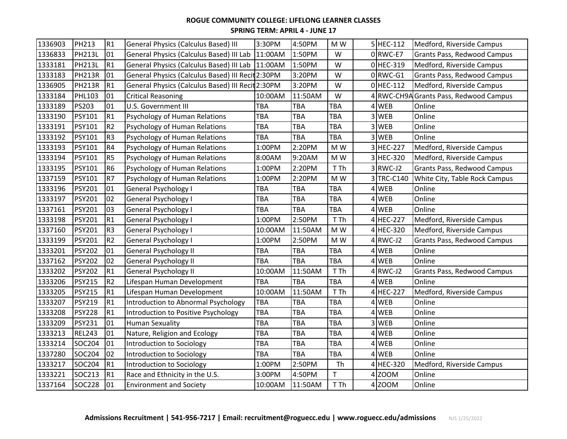| 1336903 | <b>PH213</b>  | R1             | <b>General Physics (Calculus Based) III</b>       | 3:30PM     | 4:50PM     | M W                      |   | 5 HEC-112             | Medford, Riverside Campus              |
|---------|---------------|----------------|---------------------------------------------------|------------|------------|--------------------------|---|-----------------------|----------------------------------------|
| 1336833 | <b>PH213L</b> | 01             | General Physics (Calculus Based) III Lab          | 11:00AM    | 1:50PM     | W                        |   | $0$ RWC-E7            | Grants Pass, Redwood Campus            |
| 1333181 | <b>PH213L</b> | R1             | General Physics (Calculus Based) III Lab 11:00AM  |            | 1:50PM     | W                        |   | $0$ HEC-319           | Medford, Riverside Campus              |
| 1333183 | <b>PH213R</b> | 01             | General Physics (Calculus Based) III Recit 2:30PM |            | 3:20PM     | W                        |   | $0$ <sub>RWC-G1</sub> | Grants Pass, Redwood Campus            |
| 1336905 | <b>PH213R</b> | R1             | General Physics (Calculus Based) III Recit 2:30PM |            | 3:20PM     | W                        |   | $0$ HEC-112           | Medford, Riverside Campus              |
| 1333184 | PHL103        | 01             | <b>Critical Reasoning</b>                         | 10:00AM    | 11:50AM    | W                        |   |                       | 4 RWC-CH9A Grants Pass, Redwood Campus |
| 1333189 | PS203         | 01             | U.S. Government III                               | <b>TBA</b> | <b>TBA</b> | TBA                      |   | 4 WEB                 | Online                                 |
| 1333190 | <b>PSY101</b> | R1             | Psychology of Human Relations                     | <b>TBA</b> | <b>TBA</b> | TBA                      |   | 3 WEB                 | Online                                 |
| 1333191 | PSY101        | R <sub>2</sub> | Psychology of Human Relations                     | TBA        | <b>TBA</b> | TBA                      |   | 3 WEB                 | Online                                 |
| 1333192 | <b>PSY101</b> | R <sub>3</sub> | Psychology of Human Relations                     | <b>TBA</b> | <b>TBA</b> | TBA                      |   | 3 WEB                 | Online                                 |
| 1333193 | <b>PSY101</b> | R <sub>4</sub> | Psychology of Human Relations                     | 1:00PM     | 2:20PM     | M W                      |   | 3 HEC-227             | Medford, Riverside Campus              |
| 1333194 | <b>PSY101</b> | R <sub>5</sub> | Psychology of Human Relations                     | 8:00AM     | 9:20AM     | M W                      |   | 3 HEC-320             | Medford, Riverside Campus              |
| 1333195 | <b>PSY101</b> | R <sub>6</sub> | Psychology of Human Relations                     | 1:00PM     | 2:20PM     | T Th                     |   | $3$ RWC-J2            | Grants Pass, Redwood Campus            |
| 1337159 | PSY101        | R7             | Psychology of Human Relations                     | 1:00PM     | 2:20PM     | M W                      |   | 3 TRC-C140            | White City, Table Rock Campus          |
| 1333196 | <b>PSY201</b> | 01             | General Psychology I                              | TBA        | <b>TBA</b> | TBA                      |   | 4 WEB                 | Online                                 |
| 1333197 | <b>PSY201</b> | 02             | General Psychology I                              | TBA        | <b>TBA</b> | TBA                      | 4 | <b>WEB</b>            | Online                                 |
| 1337161 | <b>PSY201</b> | 03             | General Psychology I                              | <b>TBA</b> | <b>TBA</b> | TBA                      |   | 4 WEB                 | Online                                 |
| 1333198 | <b>PSY201</b> | R1             | General Psychology I                              | 1:00PM     | 2:50PM     | T Th                     |   | 4 HEC-227             | Medford, Riverside Campus              |
| 1337160 | PSY201        | R <sub>3</sub> | General Psychology I                              | 10:00AM    | 11:50AM    | M W                      |   | 4 HEC-320             | Medford, Riverside Campus              |
| 1333199 | <b>PSY201</b> | R <sub>2</sub> | General Psychology I                              | 1:00PM     | 2:50PM     | $\mathsf{M}\ \mathsf{W}$ |   | $4$ RWC-J2            | Grants Pass, Redwood Campus            |
| 1333201 | <b>PSY202</b> | 01             | General Psychology II                             | <b>TBA</b> | <b>TBA</b> | TBA                      |   | 4 WEB                 | Online                                 |
| 1337162 | <b>PSY202</b> | 02             | General Psychology II                             | <b>TBA</b> | <b>TBA</b> | TBA                      |   | $4$ WEB               | Online                                 |
| 1333202 | <b>PSY202</b> | R1             | General Psychology II                             | 10:00AM    | 11:50AM    | T Th                     |   | $4$ RWC-J2            | Grants Pass, Redwood Campus            |
| 1333206 | <b>PSY215</b> | R <sub>2</sub> | Lifespan Human Development                        | <b>TBA</b> | <b>TBA</b> | TBA                      |   | 4 WEB                 | Online                                 |
| 1333205 | <b>PSY215</b> | R1             | Lifespan Human Development                        | 10:00AM    | 11:50AM    | T Th                     |   | 4 HEC-227             | Medford, Riverside Campus              |
| 1333207 | <b>PSY219</b> | R1             | Introduction to Abnormal Psychology               | TBA        | <b>TBA</b> | <b>TBA</b>               |   | 4 WEB                 | Online                                 |
| 1333208 | <b>PSY228</b> | R1             | Introduction to Positive Psychology               | TBA        | <b>TBA</b> | TBA                      |   | $4$ WEB               | Online                                 |
| 1333209 | <b>PSY231</b> | 01             | <b>Human Sexuality</b>                            | TBA        | <b>TBA</b> | TBA                      |   | 3 WEB                 | Online                                 |
| 1333213 | <b>REL243</b> | 01             | Nature, Religion and Ecology                      | TBA        | <b>TBA</b> | TBA                      |   | 4 WEB                 | Online                                 |
| 1333214 | SOC204        | 01             | Introduction to Sociology                         | TBA        | <b>TBA</b> | TBA                      |   | 4WEB                  | Online                                 |
| 1337280 | SOC204        | 02             | Introduction to Sociology                         | TBA        | <b>TBA</b> | TBA                      |   | 4 WEB                 | Online                                 |
| 1333217 | SOC204        | R1             | Introduction to Sociology                         | 1:00PM     | 2:50PM     | Th                       |   | 4 HEC-320             | Medford, Riverside Campus              |
| 1333221 | SOC213        | R <sub>1</sub> | Race and Ethnicity in the U.S.                    | 3:00PM     | 4:50PM     | T.                       |   | 4 ZOOM                | Online                                 |
| 1337164 | SOC228        | 01             | <b>Environment and Society</b>                    | 10:00AM    | 11:50AM    | T Th                     |   | 4 ZOOM                | Online                                 |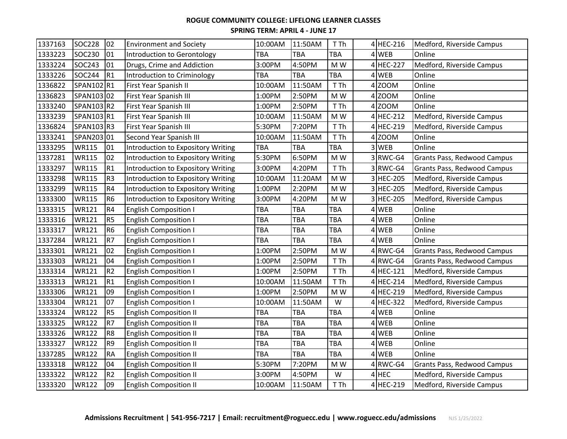| 1337163 | <b>SOC228</b> | 02             | <b>Environment and Society</b>            | 10:00AM    | 11:50AM    | T Th |   | 4 HEC-216  | Medford, Riverside Campus   |
|---------|---------------|----------------|-------------------------------------------|------------|------------|------|---|------------|-----------------------------|
| 1333223 | SOC230        | 01             | Introduction to Gerontology               | TBA        | <b>TBA</b> | TBA  |   | 4 WEB      | Online                      |
| 1333224 | SOC243        | 01             | Drugs, Crime and Addiction                | 3:00PM     | 4:50PM     | M W  |   | 4 HEC-227  | Medford, Riverside Campus   |
| 1333226 | SOC244        | R <sub>1</sub> | Introduction to Criminology               | <b>TBA</b> | TBA        | TBA  |   | 4 WEB      | Online                      |
| 1336822 | SPAN102 R1    |                | First Year Spanish II                     | 10:00AM    | 11:50AM    | T Th |   | 4 ZOOM     | Online                      |
| 1336823 | SPAN103 02    |                | First Year Spanish III                    | 1:00PM     | 2:50PM     | M W  |   | 4 ZOOM     | Online                      |
| 1333240 | SPAN103 R2    |                | First Year Spanish III                    | 1:00PM     | 2:50PM     | T Th |   | 4 ZOOM     | Online                      |
| 1333239 | SPAN103 R1    |                | First Year Spanish III                    | 10:00AM    | 11:50AM    | M W  |   | 4 HEC-212  | Medford, Riverside Campus   |
| 1336824 | SPAN103 R3    |                | First Year Spanish III                    | 5:30PM     | 7:20PM     | T Th |   | 4 HEC-219  | Medford, Riverside Campus   |
| 1333241 | SPAN203 01    |                | Second Year Spanish III                   | 10:00AM    | 11:50AM    | T Th |   | 4 ZOOM     | Online                      |
| 1333295 | <b>WR115</b>  | 01             | Introduction to Expository Writing        | <b>TBA</b> | <b>TBA</b> | TBA  |   | 3 WEB      | Online                      |
| 1337281 | <b>WR115</b>  | 02             | Introduction to Expository Writing        | 5:30PM     | 6:50PM     | M W  |   | 3RWC-G4    | Grants Pass, Redwood Campus |
| 1333297 | <b>WR115</b>  | R1             | Introduction to Expository Writing        | 3:00PM     | 4:20PM     | T Th |   | 3RWC-G4    | Grants Pass, Redwood Campus |
| 1333298 | <b>WR115</b>  | R <sub>3</sub> | Introduction to Expository Writing        | 10:00AM    | 11:20AM    | M W  |   | 3 HEC-205  | Medford, Riverside Campus   |
| 1333299 | <b>WR115</b>  | R <sub>4</sub> | <b>Introduction to Expository Writing</b> | 1:00PM     | 2:20PM     | M W  |   | 3 HEC-205  | Medford, Riverside Campus   |
| 1333300 | <b>WR115</b>  | R <sub>6</sub> | <b>Introduction to Expository Writing</b> | 3:00PM     | 4:20PM     | M W  |   | 3 HEC-205  | Medford, Riverside Campus   |
| 1333315 | <b>WR121</b>  | R4             | <b>English Composition I</b>              | TBA        | <b>TBA</b> | TBA  |   | 4 WEB      | Online                      |
| 1333316 | <b>WR121</b>  | R <sub>5</sub> | <b>English Composition I</b>              | <b>TBA</b> | <b>TBA</b> | TBA  | 4 | <b>WEB</b> | Online                      |
| 1333317 | <b>WR121</b>  | R <sub>6</sub> | <b>English Composition I</b>              | TBA        | <b>TBA</b> | TBA  |   | 4 WEB      | Online                      |
| 1337284 | <b>WR121</b>  | R7             | <b>English Composition I</b>              | TBA        | <b>TBA</b> | TBA  |   | 4 WEB      | Online                      |
| 1333301 | <b>WR121</b>  | 02             | <b>English Composition I</b>              | 1:00PM     | 2:50PM     | M W  |   | $4$ RWC-G4 | Grants Pass, Redwood Campus |
| 1333303 | <b>WR121</b>  | 04             | <b>English Composition I</b>              | 1:00PM     | 2:50PM     | T Th |   | $4$ RWC-G4 | Grants Pass, Redwood Campus |
| 1333314 | <b>WR121</b>  | R <sub>2</sub> | <b>English Composition I</b>              | 1:00PM     | 2:50PM     | T Th |   | 4 HEC-121  | Medford, Riverside Campus   |
| 1333313 | <b>WR121</b>  | R1             | English Composition I                     | 10:00AM    | 11:50AM    | T Th |   | 4 HEC-214  | Medford, Riverside Campus   |
| 1333306 | <b>WR121</b>  | 09             | <b>English Composition I</b>              | 1:00PM     | 2:50PM     | M W  |   | 4 HEC-219  | Medford, Riverside Campus   |
| 1333304 | <b>WR121</b>  | 107            | <b>English Composition I</b>              | 10:00AM    | 11:50AM    | W    |   | 4 HEC-322  | Medford, Riverside Campus   |
| 1333324 | <b>WR122</b>  | R <sub>5</sub> | <b>English Composition II</b>             | TBA        | <b>TBA</b> | TBA  |   | $4$ WEB    | Online                      |
| 1333325 | <b>WR122</b>  | R <sub>7</sub> | <b>English Composition II</b>             | TBA        | <b>TBA</b> | TBA  |   | 4 WEB      | Online                      |
| 1333326 | <b>WR122</b>  | R <sub>8</sub> | <b>English Composition II</b>             | TBA        | <b>TBA</b> | TBA  |   | 4 WEB      | Online                      |
| 1333327 | <b>WR122</b>  | R <sub>9</sub> | <b>English Composition II</b>             | TBA        | <b>TBA</b> | TBA  |   | 4 WEB      | Online                      |
| 1337285 | <b>WR122</b>  | <b>RA</b>      | <b>English Composition II</b>             | TBA        | <b>TBA</b> | TBA  |   | 4 WEB      | Online                      |
| 1333318 | <b>WR122</b>  | 04             | <b>English Composition II</b>             | 5:30PM     | 7:20PM     | M W  |   | $4$ RWC-G4 | Grants Pass, Redwood Campus |
| 1333322 | <b>WR122</b>  | R <sub>2</sub> | <b>English Composition II</b>             | 3:00PM     | 4:50PM     | W    |   | $4$ HEC    | Medford, Riverside Campus   |
| 1333320 | <b>WR122</b>  | 09             | <b>English Composition II</b>             | 10:00AM    | 11:50AM    | T Th |   | 4 HEC-219  | Medford, Riverside Campus   |